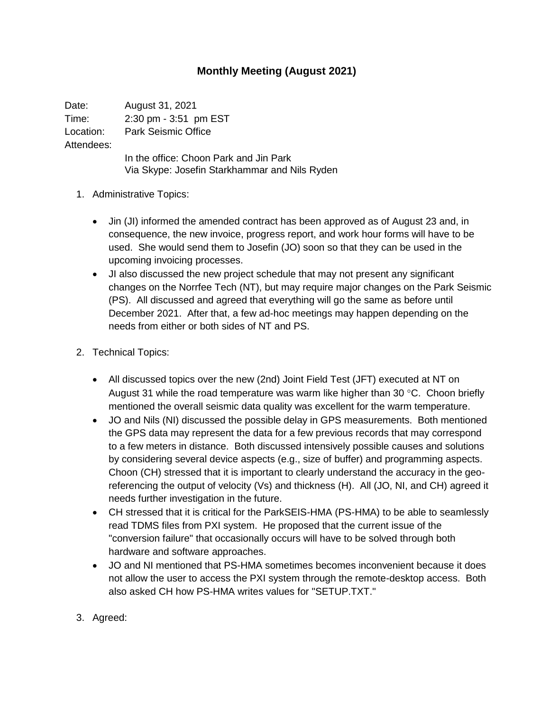## **Monthly Meeting (August 2021)**

Date: August 31, 2021 Time: 2:30 pm - 3:51 pm EST Location: Park Seismic Office Attendees: In the office: Choon Park and Jin Park Via Skype: Josefin Starkhammar and Nils Ryden

- 1. Administrative Topics:
	- Jin (JI) informed the amended contract has been approved as of August 23 and, in consequence, the new invoice, progress report, and work hour forms will have to be used. She would send them to Josefin (JO) soon so that they can be used in the upcoming invoicing processes.
	- JI also discussed the new project schedule that may not present any significant changes on the Norrfee Tech (NT), but may require major changes on the Park Seismic (PS). All discussed and agreed that everything will go the same as before until December 2021. After that, a few ad-hoc meetings may happen depending on the needs from either or both sides of NT and PS.
- 2. Technical Topics:
	- All discussed topics over the new (2nd) Joint Field Test (JFT) executed at NT on August 31 while the road temperature was warm like higher than 30  $\degree$ C. Choon briefly mentioned the overall seismic data quality was excellent for the warm temperature.
	- JO and Nils (NI) discussed the possible delay in GPS measurements. Both mentioned the GPS data may represent the data for a few previous records that may correspond to a few meters in distance. Both discussed intensively possible causes and solutions by considering several device aspects (e.g., size of buffer) and programming aspects. Choon (CH) stressed that it is important to clearly understand the accuracy in the georeferencing the output of velocity (Vs) and thickness (H). All (JO, NI, and CH) agreed it needs further investigation in the future.
	- CH stressed that it is critical for the ParkSEIS-HMA (PS-HMA) to be able to seamlessly read TDMS files from PXI system. He proposed that the current issue of the "conversion failure" that occasionally occurs will have to be solved through both hardware and software approaches.
	- JO and NI mentioned that PS-HMA sometimes becomes inconvenient because it does not allow the user to access the PXI system through the remote-desktop access. Both also asked CH how PS-HMA writes values for "SETUP.TXT."
- 3. Agreed: